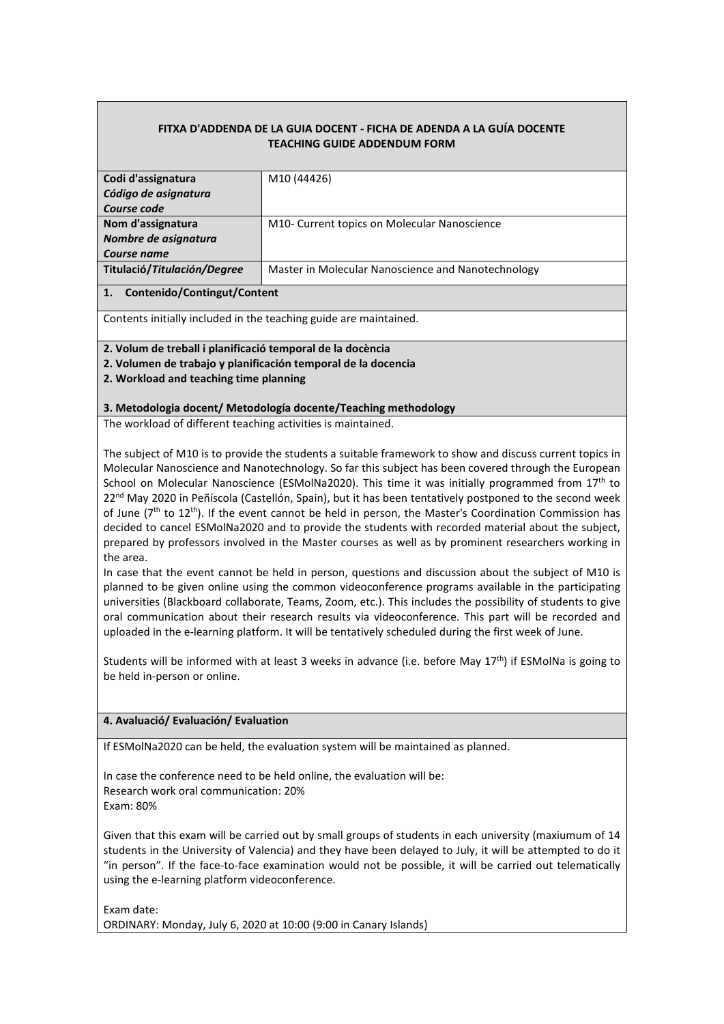## **FITXA D'ADDENDA DE LA GUIA DOCENT - FICHA DE ADENDA A LA GUÍA DOCENTE TEACHING GUIDE ADDENDUM FORM**

| Codi d'assignatura          | M <sub>10</sub> (44426)                            |
|-----------------------------|----------------------------------------------------|
| Código de asignatura        |                                                    |
| Course code                 |                                                    |
| Nom d'assignatura           | M10- Current topics on Molecular Nanoscience       |
| Nombre de asignatura        |                                                    |
| Course name                 |                                                    |
| Titulació/Titulación/Degree | Master in Molecular Nanoscience and Nanotechnology |
|                             |                                                    |

#### **1. Contenido/Contingut/Content**

Contents initially included in the teaching guide are maintained.

### **2. Volum de treball i planificació temporal de la docència**

**2. Volumen de trabajo y planificación temporal de la docencia**

**2. Workload and teaching time planning**

#### **3. Metodologia docent/ Metodología docente/Teaching methodology**

The workload of different teaching activities is maintained.

The subject of M10 is to provide the students a suitable framework to show and discuss current topics in Molecular Nanoscience and Nanotechnology. So far this subject has been covered through the European School on Molecular Nanoscience (ESMolNa2020). This time it was initially programmed from  $17<sup>th</sup>$  to 22<sup>nd</sup> May 2020 in Peñíscola (Castellón, Spain), but it has been tentatively postponed to the second week of June  $(7<sup>th</sup>$  to  $12<sup>th</sup>$ ). If the event cannot be held in person, the Master's Coordination Commission has decided to cancel ESMolNa2020 and to provide the students with recorded material about the subject, prepared by professors involved in the Master courses as well as by prominent researchers working in the area.

In case that the event cannot be held in person, questions and discussion about the subject of M10 is planned to be given online using the common videoconference programs available in the participating universities (Blackboard collaborate, Teams, Zoom, etc.). This includes the possibility of students to give oral communication about their research results via videoconference. This part will be recorded and uploaded in the e-learning platform. It will be tentatively scheduled during the first week of June.

Students will be informed with at least 3 weeks in advance (i.e. before May 17<sup>th</sup>) if ESMolNa is going to be held in-person or online.

## **4. Avaluació/ Evaluación/ Evaluation**

If ESMolNa2020 can be held, the evaluation system will be maintained as planned.

In case the conference need to be held online, the evaluation will be: Research work oral communication: 20% Exam: 80%

Given that this exam will be carried out by small groups of students in each university (maxiumum of 14 students in the University of Valencia) and they have been delayed to July, it will be attempted to do it "in person". If the face-to-face examination would not be possible, it will be carried out telematically using the e-learning platform videoconference.

Exam date: ORDINARY: Monday, July 6, 2020 at 10:00 (9:00 in Canary Islands)